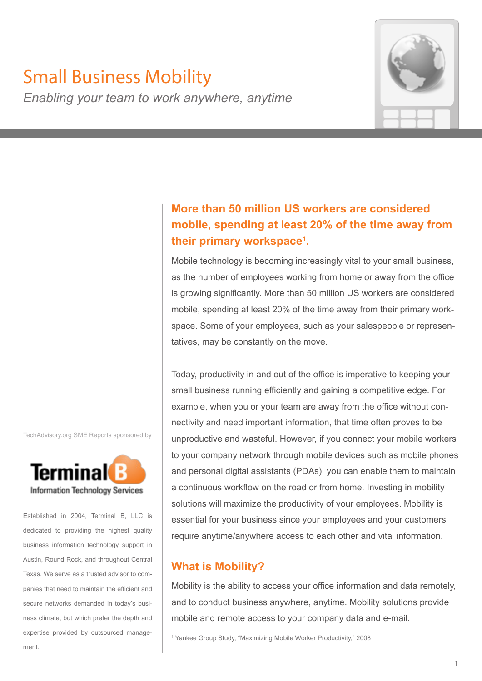# Small Business Mobility



# *Enabling your team to work anywhere, anytime*

# **More than 50 million US workers are considered mobile, spending at least 20% of the time away from their primary workspace<sup>1</sup> .**

Mobile technology is becoming increasingly vital to your small business, as the number of employees working from home or away from the office is growing significantly. More than 50 million US workers are considered mobile, spending at least 20% of the time away from their primary workspace. Some of your employees, such as your salespeople or representatives, may be constantly on the move.

Today, productivity in and out of the office is imperative to keeping your small business running efficiently and gaining a competitive edge. For example, when you or your team are away from the office without connectivity and need important information, that time often proves to be unproductive and wasteful. However, if you connect your mobile workers to your company network through mobile devices such as mobile phones and personal digital assistants (PDAs), you can enable them to maintain a continuous workflow on the road or from home. Investing in mobility solutions will maximize the productivity of your employees. Mobility is essential for your business since your employees and your customers require anytime/anywhere access to each other and vital information.

# **What is Mobility?**

Mobility is the ability to access your office information and data remotely, and to conduct business anywhere, anytime. Mobility solutions provide mobile and remote access to your company data and e-mail.

1 Yankee Group Study, "Maximizing Mobile Worker Productivity," 2008

TechAdvisory.org SME Reports sponsored by



Established in 2004, Terminal B, LLC is dedicated to providing the highest quality business information technology support in Austin, Round Rock, and throughout Central Texas. We serve as a trusted advisor to companies that need to maintain the efficient and secure networks demanded in today's business climate, but which prefer the depth and expertise provided by outsourced management.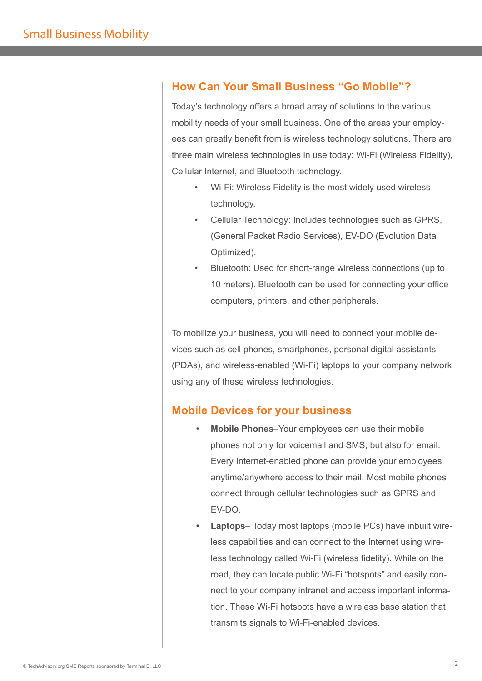### **How Can Your Small Business "Go Mobile"?**

Today's technology offers a broad array of solutions to the various mobility needs of your small business. One of the areas your employees can greatly benefit from is wireless technology solutions. There are three main wireless technologies in use today: Wi-Fi (Wireless Fidelity), Cellular Internet, and Bluetooth technology.

- Wi-Fi: Wireless Fidelity is the most widely used wireless technology.
- Cellular Technology: Includes technologies such as GPRS, (General Packet Radio Services), EV-DO (Evolution Data Optimized).
- Bluetooth: Used for short-range wireless connections (up to 10 meters). Bluetooth can be used for connecting your office computers, printers, and other peripherals.

To mobilize your business, you will need to connect your mobile devices such as cell phones, smartphones, personal digital assistants (PDAs), and wireless-enabled (Wi-Fi) laptops to your company network using any of these wireless technologies.

### **Mobile Devices for your business**

- **Mobile Phones**–Your employees can use their mobile phones not only for voicemail and SMS, but also for email. Every Internet-enabled phone can provide your employees anytime/anywhere access to their mail. Most mobile phones connect through cellular technologies such as GPRS and EV-DO.
- **Laptops** Today most laptops (mobile PCs) have inbuilt wireless capabilities and can connect to the Internet using wireless technology called Wi-Fi (wireless fidelity). While on the road, they can locate public Wi-Fi "hotspots" and easily connect to your company intranet and access important information. These Wi-Fi hotspots have a wireless base station that transmits signals to Wi-Fi-enabled devices.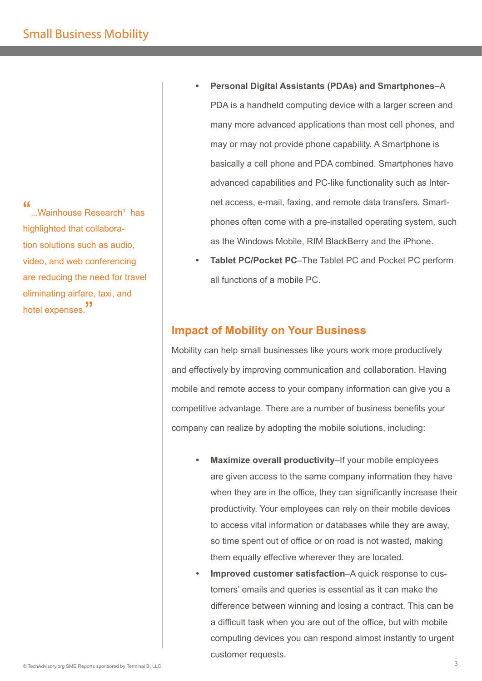$\boldsymbol{\mu}$  ...Wainhouse Research<sup>1</sup> has highlighted that collaboration solutions such as audio, video, and web conferencing are reducing the need for travel eliminating airfare, taxi, and hotel expenses. "

- **Personal Digital Assistants (PDAs) and Smartphones**–A PDA is a handheld computing device with a larger screen and many more advanced applications than most cell phones, and may or may not provide phone capability. A Smartphone is basically a cell phone and PDA combined. Smartphones have advanced capabilities and PC-like functionality such as Internet access, e-mail, faxing, and remote data transfers. Smartphones often come with a pre-installed operating system, such as the Windows Mobile, RIM BlackBerry and the iPhone.
- **Tablet PC/Pocket PC**–The Tablet PC and Pocket PC perform all functions of a mobile PC.

# **Impact of Mobility on Your Business**

Mobility can help small businesses like yours work more productively and effectively by improving communication and collaboration. Having mobile and remote access to your company information can give you a competitive advantage. There are a number of business benefits your company can realize by adopting the mobile solutions, including:

- **Maximize overall productivity**–If your mobile employees are given access to the same company information they have when they are in the office, they can significantly increase their productivity. Your employees can rely on their mobile devices to access vital information or databases while they are away, so time spent out of office or on road is not wasted, making them equally effective wherever they are located.
- **Improved customer satisfaction**–A quick response to customers' emails and queries is essential as it can make the difference between winning and losing a contract. This can be a difficult task when you are out of the office, but with mobile computing devices you can respond almost instantly to urgent customer requests.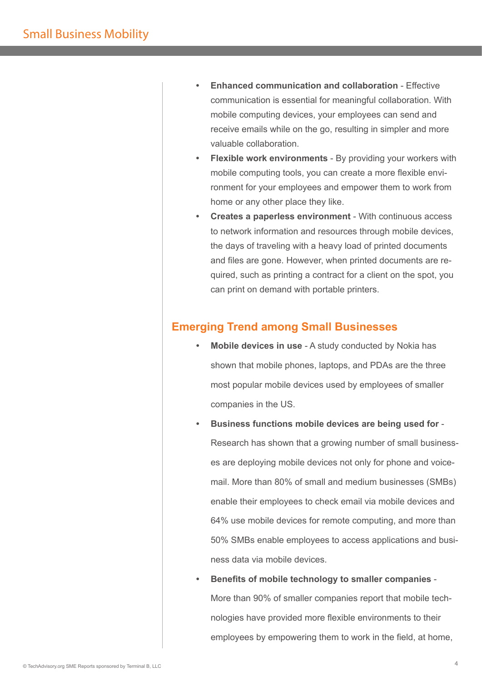- **Enhanced communication and collaboration Effective** communication is essential for meaningful collaboration. With mobile computing devices, your employees can send and receive emails while on the go, resulting in simpler and more valuable collaboration.
- **Flexible work environments** By providing your workers with mobile computing tools, you can create a more flexible environment for your employees and empower them to work from home or any other place they like.
- **Creates a paperless environment**  With continuous access to network information and resources through mobile devices, the days of traveling with a heavy load of printed documents and files are gone. However, when printed documents are required, such as printing a contract for a client on the spot, you can print on demand with portable printers.

# **Emerging Trend among Small Businesses**

- **Mobile devices in use**  A study conducted by Nokia has shown that mobile phones, laptops, and PDAs are the three most popular mobile devices used by employees of smaller companies in the US.
- **Business functions mobile devices are being used for** Research has shown that a growing number of small businesses are deploying mobile devices not only for phone and voicemail. More than 80% of small and medium businesses (SMBs) enable their employees to check email via mobile devices and 64% use mobile devices for remote computing, and more than 50% SMBs enable employees to access applications and business data via mobile devices.
- **Benefits of mobile technology to smaller companies** More than 90% of smaller companies report that mobile technologies have provided more flexible environments to their employees by empowering them to work in the field, at home,